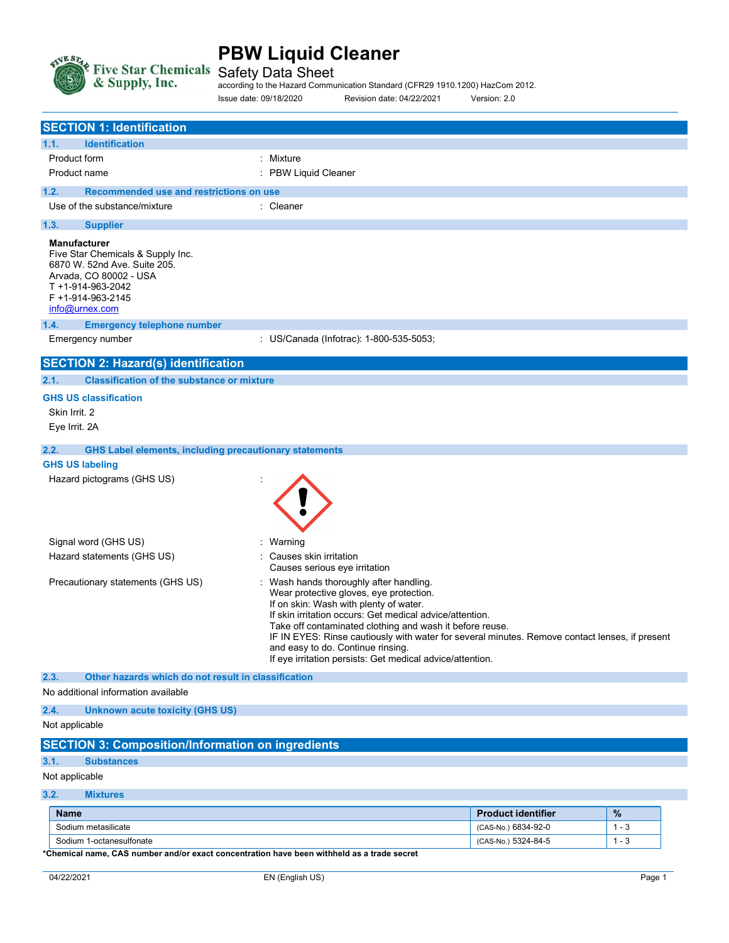

Safety Data Sheet

according to the Hazard Communication Standard (CFR29 1910.1200) HazCom 2012. Issue date: 09/18/2020 Revision date: 04/22/2021 Version: 2.0

|                                                                                                           | <b>SECTION 1: Identification</b>                                  |                                                                                                                                                                                                                                                                                                                                                                                                                                                        |
|-----------------------------------------------------------------------------------------------------------|-------------------------------------------------------------------|--------------------------------------------------------------------------------------------------------------------------------------------------------------------------------------------------------------------------------------------------------------------------------------------------------------------------------------------------------------------------------------------------------------------------------------------------------|
|                                                                                                           |                                                                   |                                                                                                                                                                                                                                                                                                                                                                                                                                                        |
| 1.1.                                                                                                      | <b>Identification</b>                                             |                                                                                                                                                                                                                                                                                                                                                                                                                                                        |
| Product form                                                                                              |                                                                   | : Mixture                                                                                                                                                                                                                                                                                                                                                                                                                                              |
| Product name                                                                                              |                                                                   | <b>PBW Liquid Cleaner</b>                                                                                                                                                                                                                                                                                                                                                                                                                              |
| 1.2.                                                                                                      | Recommended use and restrictions on use                           |                                                                                                                                                                                                                                                                                                                                                                                                                                                        |
|                                                                                                           | Use of the substance/mixture                                      | : Cleaner                                                                                                                                                                                                                                                                                                                                                                                                                                              |
| 1.3.                                                                                                      | <b>Supplier</b>                                                   |                                                                                                                                                                                                                                                                                                                                                                                                                                                        |
| <b>Manufacturer</b><br>Arvada, CO 80002 - USA<br>T +1-914-963-2042<br>F +1-914-963-2145<br>info@urnex.com | Five Star Chemicals & Supply Inc.<br>6870 W. 52nd Ave. Suite 205. |                                                                                                                                                                                                                                                                                                                                                                                                                                                        |
| 1.4.                                                                                                      | <b>Emergency telephone number</b>                                 |                                                                                                                                                                                                                                                                                                                                                                                                                                                        |
| Emergency number                                                                                          |                                                                   | : US/Canada (Infotrac): 1-800-535-5053;                                                                                                                                                                                                                                                                                                                                                                                                                |
|                                                                                                           | <b>SECTION 2: Hazard(s) identification</b>                        |                                                                                                                                                                                                                                                                                                                                                                                                                                                        |
| 2.1.                                                                                                      | <b>Classification of the substance or mixture</b>                 |                                                                                                                                                                                                                                                                                                                                                                                                                                                        |
| <b>GHS US classification</b>                                                                              |                                                                   |                                                                                                                                                                                                                                                                                                                                                                                                                                                        |
| Skin Irrit. 2                                                                                             |                                                                   |                                                                                                                                                                                                                                                                                                                                                                                                                                                        |
| Eye Irrit. 2A                                                                                             |                                                                   |                                                                                                                                                                                                                                                                                                                                                                                                                                                        |
|                                                                                                           |                                                                   |                                                                                                                                                                                                                                                                                                                                                                                                                                                        |
| 2.2.                                                                                                      | <b>GHS Label elements, including precautionary statements</b>     |                                                                                                                                                                                                                                                                                                                                                                                                                                                        |
| <b>GHS US labeling</b>                                                                                    |                                                                   |                                                                                                                                                                                                                                                                                                                                                                                                                                                        |
|                                                                                                           | Hazard pictograms (GHS US)                                        |                                                                                                                                                                                                                                                                                                                                                                                                                                                        |
| Signal word (GHS US)                                                                                      |                                                                   | Warning                                                                                                                                                                                                                                                                                                                                                                                                                                                |
|                                                                                                           | Hazard statements (GHS US)                                        | Causes skin irritation<br>Causes serious eye irritation                                                                                                                                                                                                                                                                                                                                                                                                |
| Precautionary statements (GHS US)                                                                         |                                                                   | Wash hands thoroughly after handling.<br>Wear protective gloves, eye protection.<br>If on skin: Wash with plenty of water.<br>If skin irritation occurs: Get medical advice/attention.<br>Take off contaminated clothing and wash it before reuse.<br>IF IN EYES: Rinse cautiously with water for several minutes. Remove contact lenses, if present<br>and easy to do. Continue rinsing.<br>If eye irritation persists: Get medical advice/attention. |
| 2.3.                                                                                                      | Other hazards which do not result in classification               |                                                                                                                                                                                                                                                                                                                                                                                                                                                        |
|                                                                                                           | No additional information available                               |                                                                                                                                                                                                                                                                                                                                                                                                                                                        |
| 2.4.<br>Not applicable                                                                                    | <b>Unknown acute toxicity (GHS US)</b>                            |                                                                                                                                                                                                                                                                                                                                                                                                                                                        |
|                                                                                                           | <b>SECTION 3: Composition/Information on ingredients</b>          |                                                                                                                                                                                                                                                                                                                                                                                                                                                        |
| 3.1.                                                                                                      | <b>Substances</b>                                                 |                                                                                                                                                                                                                                                                                                                                                                                                                                                        |
| Not applicable                                                                                            |                                                                   |                                                                                                                                                                                                                                                                                                                                                                                                                                                        |
| 3.2.                                                                                                      | <b>Mixtures</b>                                                   |                                                                                                                                                                                                                                                                                                                                                                                                                                                        |

| <b>Name</b>              | <b>Product identifier</b> | $\frac{9}{6}$ |
|--------------------------|---------------------------|---------------|
| Sodium metasilicate      | (CAS-No.) 6834-92-0       | . - -         |
| Sodium 1-octanesulfonate | (CAS-No.) 5324-84-5       | ن - '         |

\*Chemical name, CAS number and/or exact concentration have been withheld as a trade secret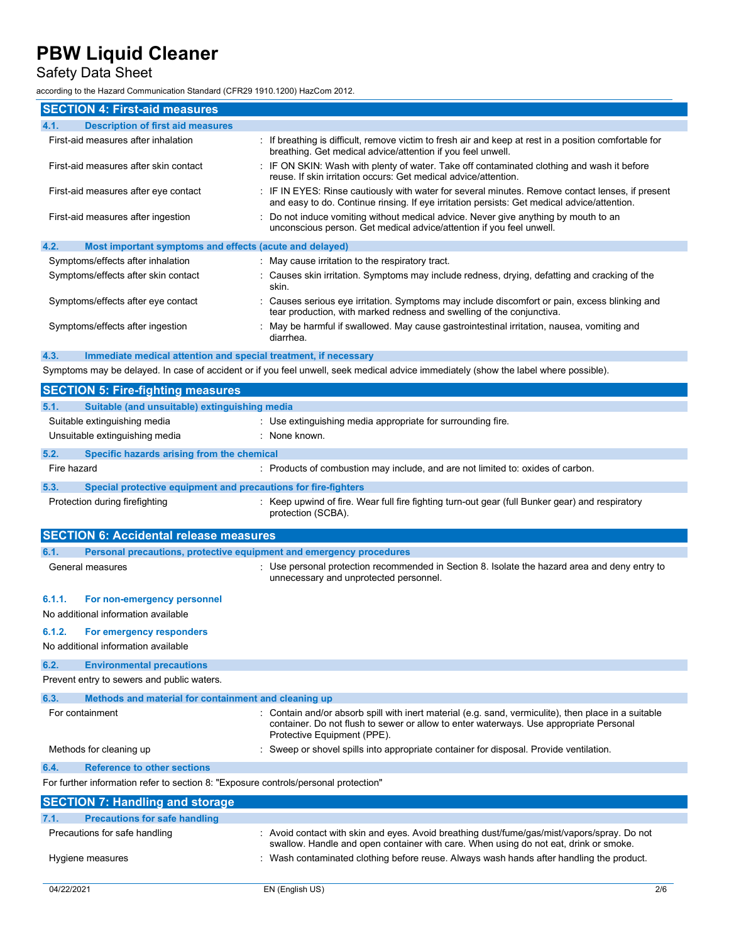## Safety Data Sheet

according to the Hazard Communication Standard (CFR29 1910.1200) HazCom 2012.

| iccording to the Hazard Communication Standard (CFR29 1910.1200) HazCom 2012. |                                                                                                                                                                                               |  |  |
|-------------------------------------------------------------------------------|-----------------------------------------------------------------------------------------------------------------------------------------------------------------------------------------------|--|--|
| <b>SECTION 4: First-aid measures</b>                                          |                                                                                                                                                                                               |  |  |
| <b>Description of first aid measures</b><br>4.1.                              |                                                                                                                                                                                               |  |  |
| First-aid measures after inhalation                                           | If breathing is difficult, remove victim to fresh air and keep at rest in a position comfortable for<br>breathing. Get medical advice/attention if you feel unwell.                           |  |  |
| First-aid measures after skin contact                                         | IF ON SKIN: Wash with plenty of water. Take off contaminated clothing and wash it before<br>reuse. If skin irritation occurs: Get medical advice/attention.                                   |  |  |
| First-aid measures after eye contact                                          | IF IN EYES: Rinse cautiously with water for several minutes. Remove contact lenses, if present<br>and easy to do. Continue rinsing. If eye irritation persists: Get medical advice/attention. |  |  |
| First-aid measures after ingestion                                            | Do not induce vomiting without medical advice. Never give anything by mouth to an<br>unconscious person. Get medical advice/attention if you feel unwell.                                     |  |  |
| 4.2.<br>Most important symptoms and effects (acute and delayed)               |                                                                                                                                                                                               |  |  |
| Symptoms/effects after inhalation                                             | May cause irritation to the respiratory tract.                                                                                                                                                |  |  |
| Symptoms/effects after skin contact                                           | Causes skin irritation. Symptoms may include redness, drying, defatting and cracking of the<br>skin.                                                                                          |  |  |
| Symptoms/effects after eye contact                                            | Causes serious eye irritation. Symptoms may include discomfort or pain, excess blinking and<br>tear production, with marked redness and swelling of the conjunctiva.                          |  |  |
| Symptoms/effects after ingestion                                              | May be harmful if swallowed. May cause gastrointestinal irritation, nausea, vomiting and<br>diarrhea.                                                                                         |  |  |
| Immediate medical attention and special treatment, if necessary<br>4.3.       |                                                                                                                                                                                               |  |  |
|                                                                               | Symptoms may be delayed. In case of accident or if you feel unwell, seek medical advice immediately (show the label where possible).                                                          |  |  |
| <b>SECTION 5: Fire-fighting measures</b>                                      |                                                                                                                                                                                               |  |  |
| 5.1.<br>Suitable (and unsuitable) extinguishing media                         |                                                                                                                                                                                               |  |  |
| Suitable extinguishing media                                                  | : Use extinguishing media appropriate for surrounding fire.                                                                                                                                   |  |  |
| Unsuitable extinguishing media                                                | : None known.                                                                                                                                                                                 |  |  |
| 5.2.<br>Specific hazards arising from the chemical                            |                                                                                                                                                                                               |  |  |
| Fire hazard                                                                   | : Products of combustion may include, and are not limited to: oxides of carbon.                                                                                                               |  |  |
| 5.3.<br>Special protective equipment and precautions for fire-fighters        |                                                                                                                                                                                               |  |  |
| Protection during firefighting                                                | Keep upwind of fire. Wear full fire fighting turn-out gear (full Bunker gear) and respiratory<br>protection (SCBA).                                                                           |  |  |
| <b>SECTION 6: Accidental release measures</b>                                 |                                                                                                                                                                                               |  |  |
| Personal precautions, protective equipment and emergency procedures<br>6.1.   |                                                                                                                                                                                               |  |  |
| General measures                                                              | Use personal protection recommended in Section 8. Isolate the hazard area and deny entry to<br>unnecessary and unprotected personnel.                                                         |  |  |
| 6.1.1.<br>For non-emergency personnel                                         |                                                                                                                                                                                               |  |  |
| No additional information available                                           |                                                                                                                                                                                               |  |  |

#### 6.1.2. For emergency responders

No additional information available

#### 6.2. Environmental precautions Prevent entry to sewers and public waters.

| 6.3.                          | Methods and material for containment and cleaning up                                |  |                                                                                                                                                                                                                               |  |
|-------------------------------|-------------------------------------------------------------------------------------|--|-------------------------------------------------------------------------------------------------------------------------------------------------------------------------------------------------------------------------------|--|
| For containment               |                                                                                     |  | : Contain and/or absorb spill with inert material (e.g. sand, vermiculite), then place in a suitable<br>container. Do not flush to sewer or allow to enter waterways. Use appropriate Personal<br>Protective Equipment (PPE). |  |
| Methods for cleaning up       |                                                                                     |  | : Sweep or shovel spills into appropriate container for disposal. Provide ventilation.                                                                                                                                        |  |
| 6.4.                          | <b>Reference to other sections</b>                                                  |  |                                                                                                                                                                                                                               |  |
|                               | For further information refer to section 8: "Exposure controls/personal protection" |  |                                                                                                                                                                                                                               |  |
|                               | <b>SECTION 7: Handling and storage</b>                                              |  |                                                                                                                                                                                                                               |  |
| 7.1.                          | <b>Precautions for safe handling</b>                                                |  |                                                                                                                                                                                                                               |  |
| Precautions for safe handling |                                                                                     |  | : Avoid contact with skin and eyes. Avoid breathing dust/fume/gas/mist/vapors/spray. Do not<br>swallow. Handle and open container with care. When using do not eat, drink or smoke.                                           |  |

Hygiene measures **interpretatal in the Contaminated clothing before reuse.** Always wash hands after handling the product.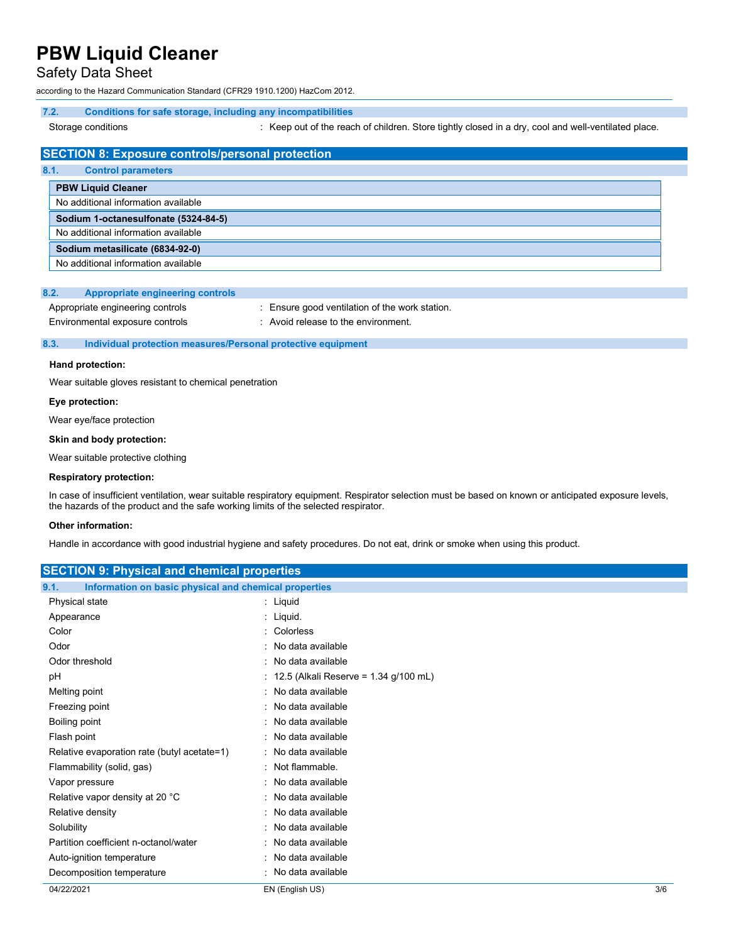#### Safety Data Sheet

according to the Hazard Communication Standard (CFR29 1910.1200) HazCom 2012.

#### 7.2. Conditions for safe storage, including any incompatibilities

Storage conditions **interpretatal conducts** : Keep out of the reach of children. Store tightly closed in a dry, cool and well-ventilated place.

### SECTION 8: Exposure controls/personal protection

| 8.1. | <b>Control parameters</b>            |
|------|--------------------------------------|
|      | <b>PBW Liquid Cleaner</b>            |
|      | No additional information available  |
|      | Sodium 1-octanesulfonate (5324-84-5) |
|      | No additional information available  |
|      | Sodium metasilicate (6834-92-0)      |
|      | No additional information available  |

#### 8.2. Appropriate engineering controls

| Appropriate engineering controls | : Ensure good ventilation of the work station. |
|----------------------------------|------------------------------------------------|
| Environmental exposure controls  | : Avoid release to the environment.            |

#### 8.3. Individual protection measures/Personal protective equipment

#### Hand protection:

Wear suitable gloves resistant to chemical penetration

#### Eye protection:

Wear eye/face protection

#### Skin and body protection:

Wear suitable protective clothing

#### Respiratory protection:

In case of insufficient ventilation, wear suitable respiratory equipment. Respirator selection must be based on known or anticipated exposure levels, the hazards of the product and the safe working limits of the selected respirator.

#### Other information:

Handle in accordance with good industrial hygiene and safety procedures. Do not eat, drink or smoke when using this product.

| <b>SECTION 9: Physical and chemical properties</b>            |                                         |     |
|---------------------------------------------------------------|-----------------------------------------|-----|
| Information on basic physical and chemical properties<br>9.1. |                                         |     |
| Physical state                                                | $:$ Liquid                              |     |
| Appearance                                                    | : Liquid.                               |     |
| Color                                                         | : Colorless                             |     |
| Odor                                                          | No data available                       |     |
| Odor threshold                                                | : No data available                     |     |
| pH                                                            | : 12.5 (Alkali Reserve = 1.34 g/100 mL) |     |
| Melting point                                                 | No data available                       |     |
| Freezing point                                                | : No data available                     |     |
| <b>Boiling point</b>                                          | : No data available                     |     |
| Flash point                                                   | : No data available                     |     |
| Relative evaporation rate (butyl acetate=1)                   | : No data available                     |     |
| Flammability (solid, gas)                                     | : Not flammable.                        |     |
| Vapor pressure                                                | : No data available                     |     |
| Relative vapor density at 20 °C                               | : No data available                     |     |
| Relative density                                              | No data available                       |     |
| Solubility                                                    | : No data available                     |     |
| Partition coefficient n-octanol/water                         | : No data available                     |     |
| Auto-ignition temperature                                     | : No data available                     |     |
| Decomposition temperature                                     | : No data available                     |     |
| 04/22/2021                                                    | EN (English US)                         | 3/6 |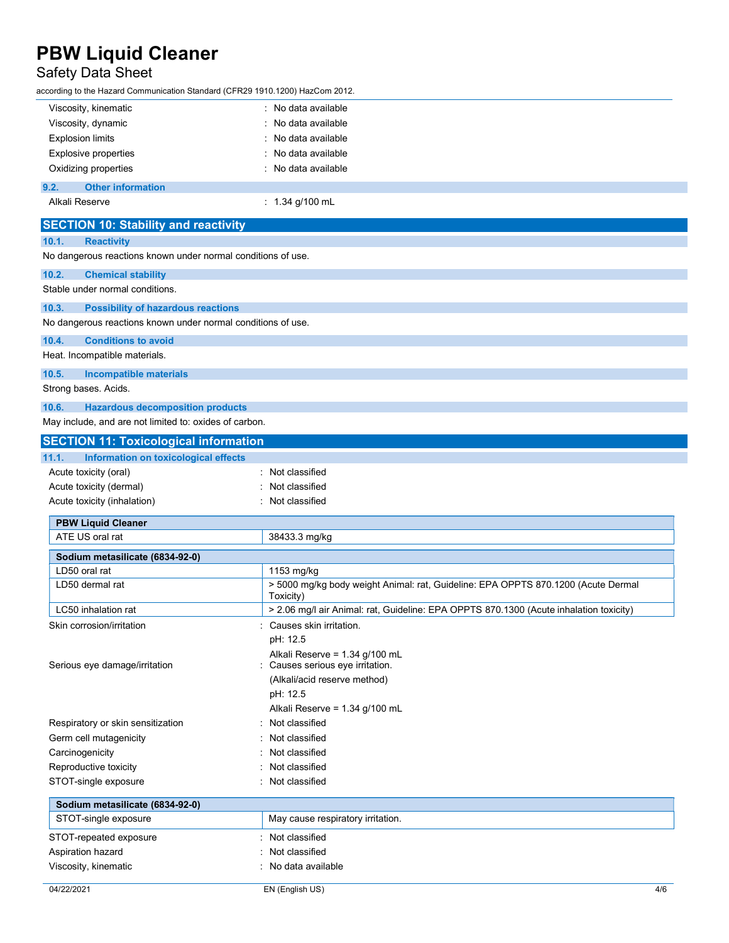## Safety Data Sheet

according to the Hazard Communication Standard (CFR29 1910.1200) HazCom 2012.

| Viscosity, kinematic                                         | : No data available                                                                            |  |  |
|--------------------------------------------------------------|------------------------------------------------------------------------------------------------|--|--|
| Viscosity, dynamic                                           | No data available                                                                              |  |  |
| <b>Explosion limits</b>                                      | No data available                                                                              |  |  |
| <b>Explosive properties</b>                                  | No data available                                                                              |  |  |
| Oxidizing properties                                         | : No data available                                                                            |  |  |
| <b>Other information</b><br>9.2.                             |                                                                                                |  |  |
| Alkali Reserve                                               | : $1.34$ g/100 mL                                                                              |  |  |
| <b>SECTION 10: Stability and reactivity</b>                  |                                                                                                |  |  |
| 10.1.<br><b>Reactivity</b>                                   |                                                                                                |  |  |
| No dangerous reactions known under normal conditions of use. |                                                                                                |  |  |
| 10.2.<br><b>Chemical stability</b>                           |                                                                                                |  |  |
| Stable under normal conditions.                              |                                                                                                |  |  |
| 10.3.<br><b>Possibility of hazardous reactions</b>           |                                                                                                |  |  |
| No dangerous reactions known under normal conditions of use. |                                                                                                |  |  |
| 10.4.<br><b>Conditions to avoid</b>                          |                                                                                                |  |  |
| Heat. Incompatible materials.                                |                                                                                                |  |  |
| 10.5.<br><b>Incompatible materials</b>                       |                                                                                                |  |  |
| Strong bases. Acids.                                         |                                                                                                |  |  |
| 10.6.<br><b>Hazardous decomposition products</b>             |                                                                                                |  |  |
| May include, and are not limited to: oxides of carbon.       |                                                                                                |  |  |
| <b>SECTION 11: Toxicological information</b>                 |                                                                                                |  |  |
| Information on toxicological effects<br>11.1.                |                                                                                                |  |  |
| Acute toxicity (oral)                                        | Not classified                                                                                 |  |  |
| Acute toxicity (dermal)                                      | Not classified                                                                                 |  |  |
| Acute toxicity (inhalation)                                  | Not classified                                                                                 |  |  |
|                                                              |                                                                                                |  |  |
| <b>PBW Liquid Cleaner</b><br>ATE US oral rat                 |                                                                                                |  |  |
|                                                              | 38433.3 mg/kg                                                                                  |  |  |
| Sodium metasilicate (6834-92-0)                              |                                                                                                |  |  |
| LD50 oral rat                                                | 1153 mg/kg                                                                                     |  |  |
| LD50 dermal rat                                              | > 5000 mg/kg body weight Animal: rat, Guideline: EPA OPPTS 870.1200 (Acute Dermal<br>Toxicity) |  |  |
| LC50 inhalation rat                                          | > 2.06 mg/l air Animal: rat, Guideline: EPA OPPTS 870.1300 (Acute inhalation toxicity)         |  |  |
| Skin corrosion/irritation                                    | Causes skin irritation.                                                                        |  |  |
|                                                              | pH: 12.5                                                                                       |  |  |
|                                                              | Alkali Reserve = 1.34 g/100 mL                                                                 |  |  |
| Serious eye damage/irritation                                | Causes serious eye irritation.                                                                 |  |  |
|                                                              | (Alkali/acid reserve method)                                                                   |  |  |
|                                                              | pH: 12.5                                                                                       |  |  |
|                                                              | Alkali Reserve = 1.34 g/100 mL                                                                 |  |  |
| Respiratory or skin sensitization                            | Not classified                                                                                 |  |  |
| Germ cell mutagenicity                                       | Not classified                                                                                 |  |  |
| Carcinogenicity<br>Not classified                            |                                                                                                |  |  |
| Reproductive toxicity                                        | Not classified                                                                                 |  |  |
| STOT-single exposure<br>Not classified                       |                                                                                                |  |  |
| Sodium metasilicate (6834-92-0)                              |                                                                                                |  |  |
| STOT-single exposure                                         | May cause respiratory irritation.                                                              |  |  |
| STOT-repeated exposure                                       | Not classified                                                                                 |  |  |
| Aspiration hazard                                            | Not classified                                                                                 |  |  |
| Viscosity, kinematic                                         | No data available                                                                              |  |  |
|                                                              |                                                                                                |  |  |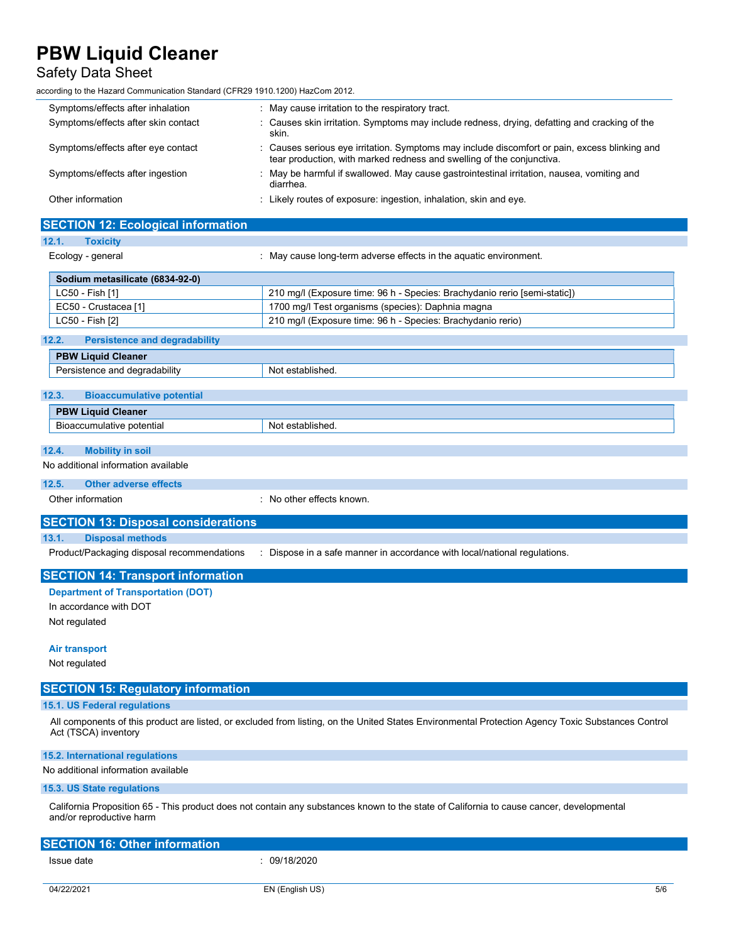#### Safety Data Sheet

| ccording to the Hazard Communication Standard (CFR29 1910.1200) HazCom 2012.                                                                                         |                                                                                                                                                                      |  |  |  |
|----------------------------------------------------------------------------------------------------------------------------------------------------------------------|----------------------------------------------------------------------------------------------------------------------------------------------------------------------|--|--|--|
| Symptoms/effects after inhalation                                                                                                                                    | : May cause irritation to the respiratory tract.                                                                                                                     |  |  |  |
| Symptoms/effects after skin contact                                                                                                                                  | Causes skin irritation. Symptoms may include redness, drying, defatting and cracking of the<br>skin.                                                                 |  |  |  |
| Symptoms/effects after eye contact                                                                                                                                   | Causes serious eye irritation. Symptoms may include discomfort or pain, excess blinking and<br>tear production, with marked redness and swelling of the conjunctiva. |  |  |  |
| Symptoms/effects after ingestion                                                                                                                                     | May be harmful if swallowed. May cause gastrointestinal irritation, nausea, vomiting and<br>diarrhea.                                                                |  |  |  |
| Other information                                                                                                                                                    | : Likely routes of exposure: ingestion, inhalation, skin and eye.                                                                                                    |  |  |  |
| <b>SECTION 12: Ecological information</b>                                                                                                                            |                                                                                                                                                                      |  |  |  |
| 12.1.<br><b>Toxicity</b>                                                                                                                                             |                                                                                                                                                                      |  |  |  |
| Ecology - general                                                                                                                                                    | : May cause long-term adverse effects in the aquatic environment.                                                                                                    |  |  |  |
| Sodium metasilicate (6834-92-0)                                                                                                                                      |                                                                                                                                                                      |  |  |  |
| LC50 - Fish [1]                                                                                                                                                      | 210 mg/l (Exposure time: 96 h - Species: Brachydanio rerio [semi-static])                                                                                            |  |  |  |
| EC50 - Crustacea [1]                                                                                                                                                 | 1700 mg/l Test organisms (species): Daphnia magna                                                                                                                    |  |  |  |
| LC50 - Fish [2]                                                                                                                                                      | 210 mg/l (Exposure time: 96 h - Species: Brachydanio rerio)                                                                                                          |  |  |  |
| <b>Persistence and degradability</b><br>12.2.                                                                                                                        |                                                                                                                                                                      |  |  |  |
| <b>PBW Liquid Cleaner</b>                                                                                                                                            |                                                                                                                                                                      |  |  |  |
| Persistence and degradability                                                                                                                                        | Not established.                                                                                                                                                     |  |  |  |
| 12.3.<br><b>Bioaccumulative potential</b>                                                                                                                            |                                                                                                                                                                      |  |  |  |
| <b>PBW Liquid Cleaner</b>                                                                                                                                            |                                                                                                                                                                      |  |  |  |
| Bioaccumulative potential                                                                                                                                            | Not established.                                                                                                                                                     |  |  |  |
| <b>Mobility in soil</b><br>12.4.                                                                                                                                     |                                                                                                                                                                      |  |  |  |
| No additional information available                                                                                                                                  |                                                                                                                                                                      |  |  |  |
| <b>Other adverse effects</b><br>12.5.                                                                                                                                |                                                                                                                                                                      |  |  |  |
| Other information                                                                                                                                                    | No other effects known.                                                                                                                                              |  |  |  |
| <b>SECTION 13: Disposal considerations</b>                                                                                                                           |                                                                                                                                                                      |  |  |  |
| <b>Disposal methods</b><br>13.1.                                                                                                                                     |                                                                                                                                                                      |  |  |  |
| Product/Packaging disposal recommendations                                                                                                                           | Dispose in a safe manner in accordance with local/national regulations.                                                                                              |  |  |  |
| <b>SECTION 14: Transport information</b>                                                                                                                             |                                                                                                                                                                      |  |  |  |
| <b>Department of Transportation (DOT)</b>                                                                                                                            |                                                                                                                                                                      |  |  |  |
| In accordance with DOT                                                                                                                                               |                                                                                                                                                                      |  |  |  |
| Not regulated                                                                                                                                                        |                                                                                                                                                                      |  |  |  |
| <b>Air transport</b>                                                                                                                                                 |                                                                                                                                                                      |  |  |  |
| Not regulated                                                                                                                                                        |                                                                                                                                                                      |  |  |  |
| <b>SECTION 15: Regulatory information</b>                                                                                                                            |                                                                                                                                                                      |  |  |  |
| 15.1. US Federal regulations                                                                                                                                         |                                                                                                                                                                      |  |  |  |
| Act (TSCA) inventory                                                                                                                                                 | All components of this product are listed, or excluded from listing, on the United States Environmental Protection Agency Toxic Substances Control                   |  |  |  |
| 15.2. International regulations                                                                                                                                      |                                                                                                                                                                      |  |  |  |
| No additional information available                                                                                                                                  |                                                                                                                                                                      |  |  |  |
| 15.3. US State regulations                                                                                                                                           |                                                                                                                                                                      |  |  |  |
| California Proposition 65 - This product does not contain any substances known to the state of California to cause cancer, developmental<br>and/or reproductive harm |                                                                                                                                                                      |  |  |  |

| <b>SECTION 16: Other information</b> |            |  |  |
|--------------------------------------|------------|--|--|
| Issue date                           | 09/18/2020 |  |  |